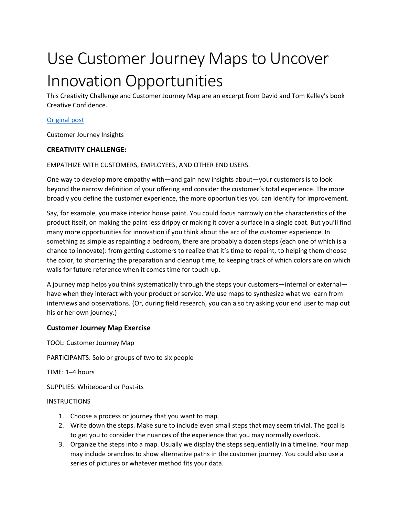# Use Customer Journey Maps to Uncover Innovation Opportunities

This Creativity Challenge and Customer Journey Map are an excerpt from David and Tom Kelley's book Creative Confidence.

## [Original post](https://www.ideou.com/blogs/inspiration/use-customer-journey-maps-to-uncover-innovation-opportunities)

Customer Journey Insights

## **CREATIVITY CHALLENGE:**

EMPATHIZE WITH CUSTOMERS, EMPLOYEES, AND OTHER END USERS.

One way to develop more empathy with—and gain new insights about—your customers is to look beyond the narrow definition of your offering and consider the customer's total experience. The more broadly you define the customer experience, the more opportunities you can identify for improvement.

Say, for example, you make interior house paint. You could focus narrowly on the characteristics of the product itself, on making the paint less drippy or making it cover a surface in a single coat. But you'll find many more opportunities for innovation if you think about the arc of the customer experience. In something as simple as repainting a bedroom, there are probably a dozen steps (each one of which is a chance to innovate): from getting customers to realize that it's time to repaint, to helping them choose the color, to shortening the preparation and cleanup time, to keeping track of which colors are on which walls for future reference when it comes time for touch-up.

A journey map helps you think systematically through the steps your customers—internal or external have when they interact with your product or service. We use maps to synthesize what we learn from interviews and observations. (Or, during field research, you can also try asking your end user to map out his or her own journey.)

### **Customer Journey Map Exercise**

TOOL: Customer Journey Map

PARTICIPANTS: Solo or groups of two to six people

TIME: 1–4 hours

SUPPLIES: Whiteboard or Post-its

#### **INSTRUCTIONS**

- 1. Choose a process or journey that you want to map.
- 2. Write down the steps. Make sure to include even small steps that may seem trivial. The goal is to get you to consider the nuances of the experience that you may normally overlook.
- 3. Organize the steps into a map. Usually we display the steps sequentially in a timeline. Your map may include branches to show alternative paths in the customer journey. You could also use a series of pictures or whatever method fits your data.